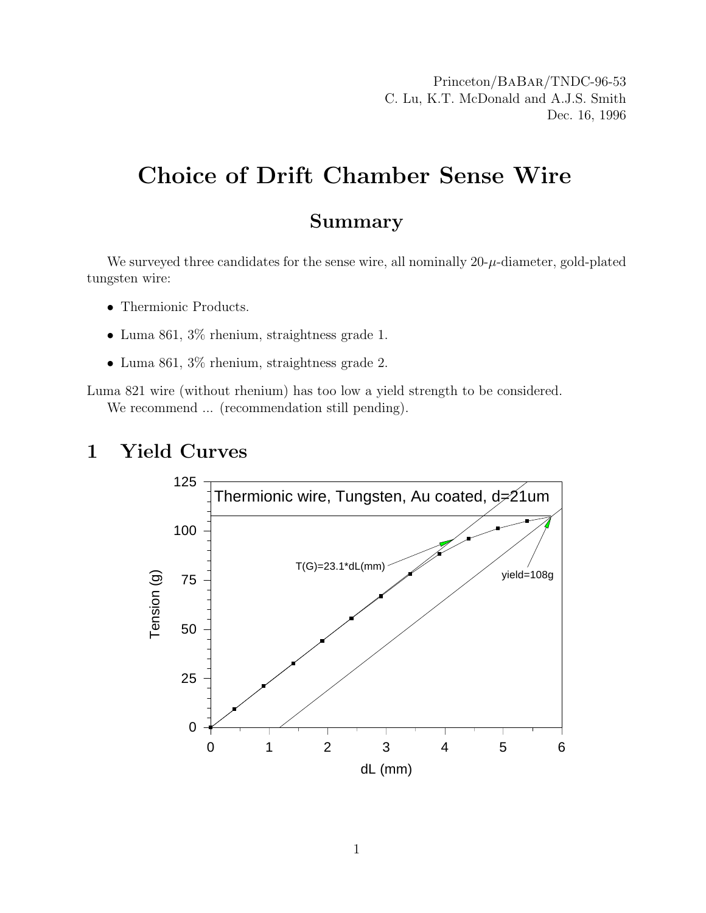Princeton/BaBar/TNDC-96-53 C. Lu, K.T. McDonald and A.J.S. Smith Dec. 16, 1996

## Choice of Drift Chamber Sense Wire

#### Summary

We surveyed three candidates for the sense wire, all nominally  $20-\mu$ -diameter, gold-plated tungsten wire:

- Thermionic Products.
- Luma 861, 3% rhenium, straightness grade 1.
- Luma 861, 3% rhenium, straightness grade 2.

Luma 821 wire (without rhenium) has too low a yield strength to be considered. We recommend ... (recommendation still pending).

## 1 Yield Curves

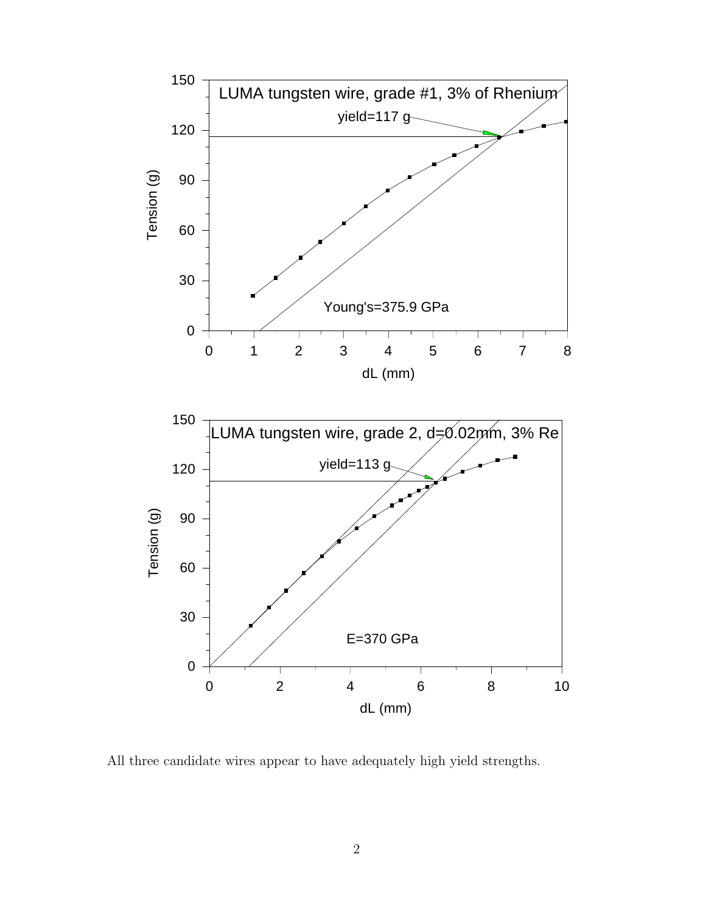

All three candidate wires appear to have adequately high yield strengths.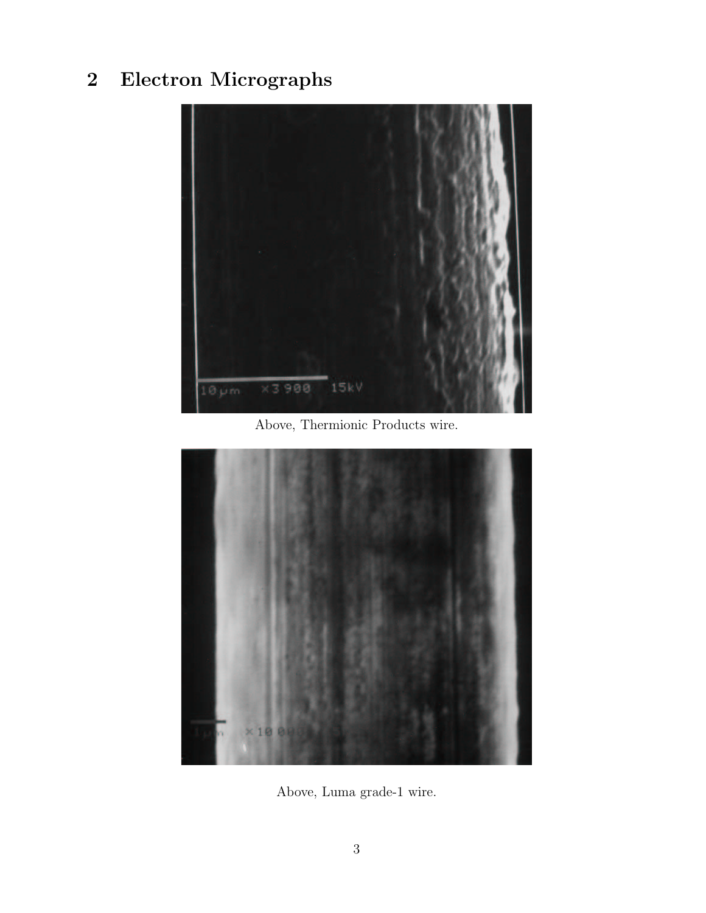# 2 Electron Micrographs



Above, Thermionic Products wire.



Above, Luma grade-1 wire.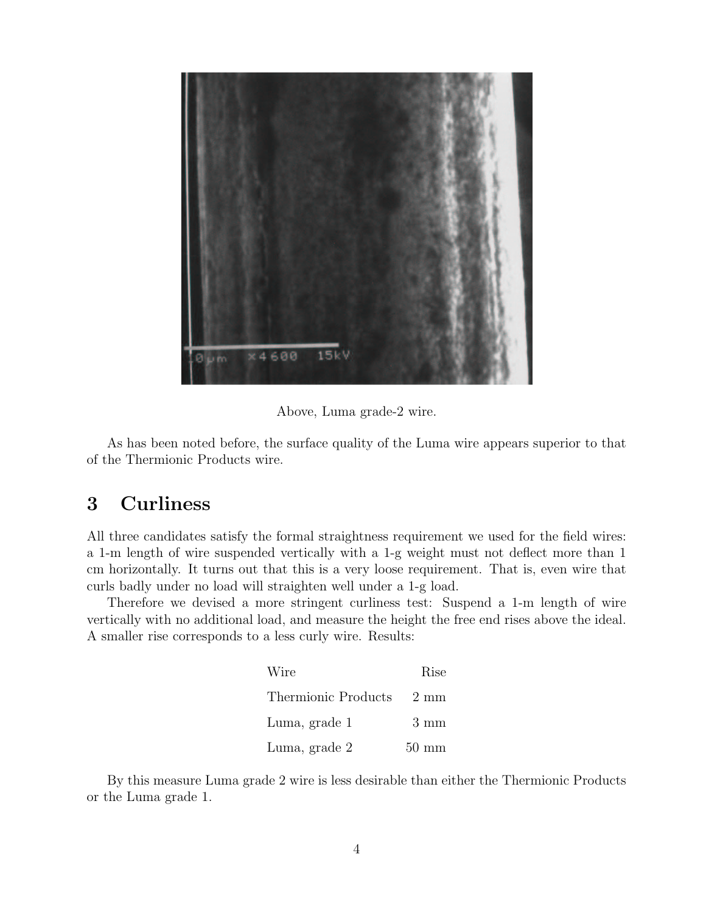

Above, Luma grade-2 wire.

As has been noted before, the surface quality of the Luma wire appears superior to that of the Thermionic Products wire.

## 3 Curliness

All three candidates satisfy the formal straightness requirement we used for the field wires: a 1-m length of wire suspended vertically with a 1-g weight must not deflect more than 1 cm horizontally. It turns out that this is a very loose requirement. That is, even wire that curls badly under no load will straighten well under a 1-g load.

Therefore we devised a more stringent curliness test: Suspend a 1-m length of wire vertically with no additional load, and measure the height the free end rises above the ideal. A smaller rise corresponds to a less curly wire. Results:

| Wire                     | Rise                     |
|--------------------------|--------------------------|
| Thermionic Products 2 mm |                          |
| Luma, grade 1            | $3 \text{ mm}$           |
| Luma, grade 2            | $50 \text{ }\mathrm{mm}$ |

By this measure Luma grade 2 wire is less desirable than either the Thermionic Products or the Luma grade 1.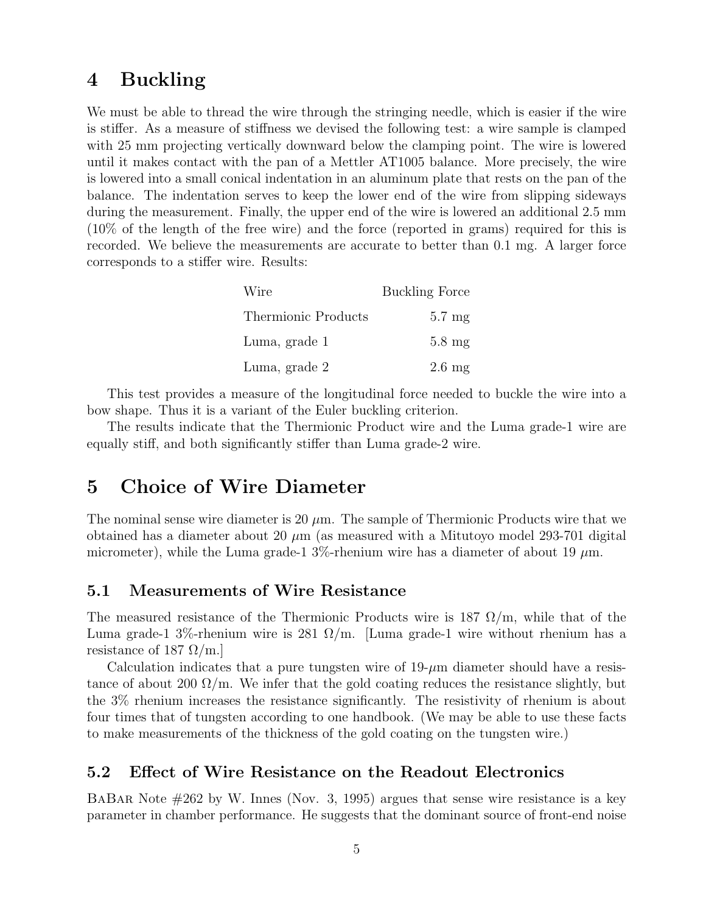## 4 Buckling

We must be able to thread the wire through the stringing needle, which is easier if the wire is stiffer. As a measure of stiffness we devised the following test: a wire sample is clamped with 25 mm projecting vertically downward below the clamping point. The wire is lowered until it makes contact with the pan of a Mettler AT1005 balance. More precisely, the wire is lowered into a small conical indentation in an aluminum plate that rests on the pan of the balance. The indentation serves to keep the lower end of the wire from slipping sideways during the measurement. Finally, the upper end of the wire is lowered an additional 2.5 mm (10% of the length of the free wire) and the force (reported in grams) required for this is recorded. We believe the measurements are accurate to better than 0.1 mg. A larger force corresponds to a stiffer wire. Results:

| Wire                | <b>Buckling Force</b> |  |
|---------------------|-----------------------|--|
| Thermionic Products | $5.7 \text{ mg}$      |  |
| Luma, grade 1       | $5.8 \text{ mg}$      |  |
| Luma, grade 2       | $2.6 \text{ mg}$      |  |

This test provides a measure of the longitudinal force needed to buckle the wire into a bow shape. Thus it is a variant of the Euler buckling criterion.

The results indicate that the Thermionic Product wire and the Luma grade-1 wire are equally stiff, and both significantly stiffer than Luma grade-2 wire.

### 5 Choice of Wire Diameter

The nominal sense wire diameter is 20  $\mu$ m. The sample of Thermionic Products wire that we obtained has a diameter about 20  $\mu$ m (as measured with a Mitutoyo model 293-701 digital micrometer), while the Luma grade-1 3%-rhenium wire has a diameter of about 19  $\mu$ m.

#### 5.1 Measurements of Wire Resistance

The measured resistance of the Thermionic Products wire is  $187 \Omega/m$ , while that of the Luma grade-1 3%-rhenium wire is 281  $\Omega/m$ . [Luma grade-1 wire without rhenium has a resistance of 187  $\Omega$ /m.

Calculation indicates that a pure tungsten wire of  $19-\mu m$  diameter should have a resistance of about 200  $\Omega/m$ . We infer that the gold coating reduces the resistance slightly, but the 3% rhenium increases the resistance significantly. The resistivity of rhenium is about four times that of tungsten according to one handbook. (We may be able to use these facts to make measurements of the thickness of the gold coating on the tungsten wire.)

#### 5.2 Effect of Wire Resistance on the Readout Electronics

BaBar Note #262 by W. Innes (Nov. 3, 1995) argues that sense wire resistance is a key parameter in chamber performance. He suggests that the dominant source of front-end noise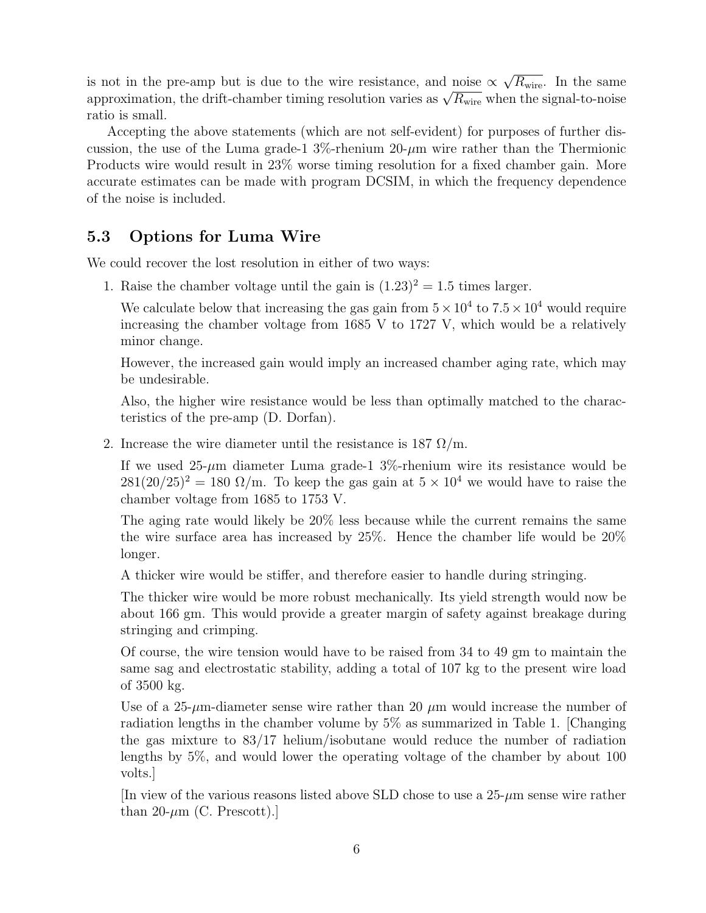is not in the pre-amp but is due to the wire resistance, and noise  $\alpha$ √  $\overline{R_{\text{wire}}}$ . In the same is not in the pre-amp but is due to the wire resistance, and holse  $\propto \sqrt{\kappa_{\text{wire}}}$ . In the same<br>approximation, the drift-chamber timing resolution varies as  $\sqrt{R_{\text{wire}}}$  when the signal-to-noise ratio is small.

Accepting the above statements (which are not self-evident) for purposes of further discussion, the use of the Luma grade-1  $3\%$ -rhenium  $20-\mu m$  wire rather than the Thermionic Products wire would result in 23% worse timing resolution for a fixed chamber gain. More accurate estimates can be made with program DCSIM, in which the frequency dependence of the noise is included.

#### 5.3 Options for Luma Wire

We could recover the lost resolution in either of two ways:

1. Raise the chamber voltage until the gain is  $(1.23)^2 = 1.5$  times larger.

We calculate below that increasing the gas gain from  $5 \times 10^4$  to  $7.5 \times 10^4$  would require increasing the chamber voltage from 1685 V to 1727 V, which would be a relatively minor change.

However, the increased gain would imply an increased chamber aging rate, which may be undesirable.

Also, the higher wire resistance would be less than optimally matched to the characteristics of the pre-amp (D. Dorfan).

2. Increase the wire diameter until the resistance is 187  $\Omega/m$ .

If we used  $25-\mu m$  diameter Luma grade-1  $3\%$ -rhenium wire its resistance would be  $281(20/25)^2 = 180 \Omega/m$ . To keep the gas gain at  $5 \times 10^4$  we would have to raise the chamber voltage from 1685 to 1753 V.

The aging rate would likely be 20% less because while the current remains the same the wire surface area has increased by 25%. Hence the chamber life would be 20% longer.

A thicker wire would be stiffer, and therefore easier to handle during stringing.

The thicker wire would be more robust mechanically. Its yield strength would now be about 166 gm. This would provide a greater margin of safety against breakage during stringing and crimping.

Of course, the wire tension would have to be raised from 34 to 49 gm to maintain the same sag and electrostatic stability, adding a total of 107 kg to the present wire load of 3500 kg.

Use of a 25- $\mu$ m-diameter sense wire rather than 20  $\mu$ m would increase the number of radiation lengths in the chamber volume by 5% as summarized in Table 1. [Changing the gas mixture to 83/17 helium/isobutane would reduce the number of radiation lengths by 5%, and would lower the operating voltage of the chamber by about 100 volts.]

[In view of the various reasons listed above SLD chose to use a  $25-\mu m$  sense wire rather than 20- $\mu$ m (C. Prescott).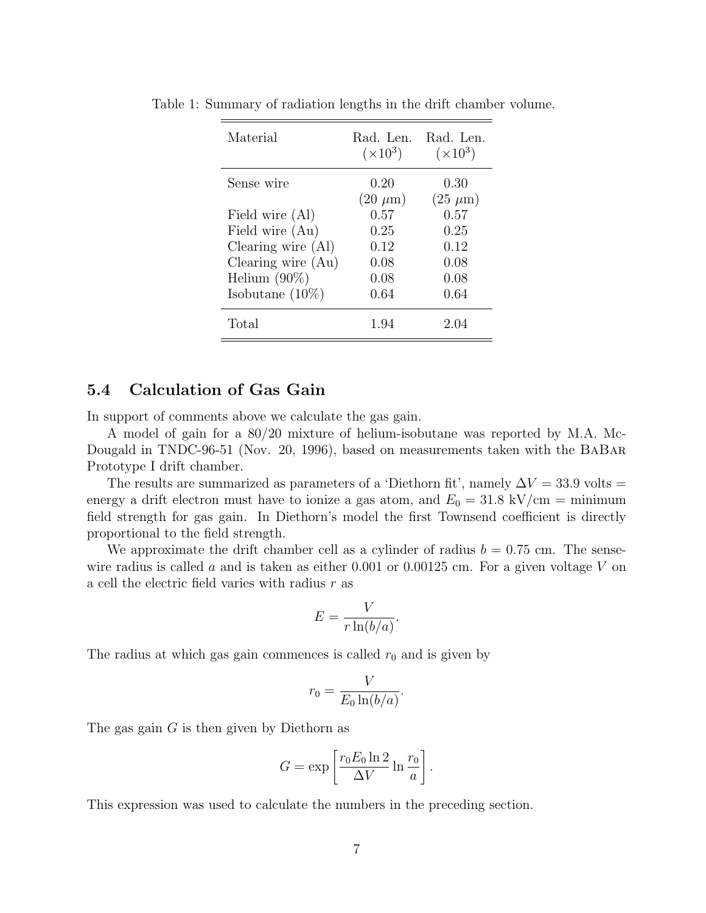| Material             | Rad. Len.<br>$(\times 10^3)$ | Rad. Len.<br>$(\times 10^3)$ |
|----------------------|------------------------------|------------------------------|
| Sense wire           | 0.20<br>$(20 \ \mu m)$       | 0.30<br>$(25 \ \mu m)$       |
| Field wire (Al)      | 0.57                         | 0.57                         |
| Field wire (Au)      | 0.25                         | 0.25                         |
| Clearing wire $(Al)$ | 0.12                         | 0.12                         |
| Clearing wire $(Au)$ | 0.08                         | 0.08                         |
| Helium $(90\%)$      | 0.08                         | 0.08                         |
| Isobutane $(10\%)$   | 0.64                         | 0.64                         |
| Total                | 1.94                         | 2.04                         |

Table 1: Summary of radiation lengths in the drift chamber volume.

#### 5.4 Calculation of Gas Gain

In support of comments above we calculate the gas gain.

A model of gain for a 80/20 mixture of helium-isobutane was reported by M.A. Mc-Dougald in TNDC-96-51 (Nov. 20, 1996), based on measurements taken with the BaBar Prototype I drift chamber.

The results are summarized as parameters of a 'Diethorn fit', namely  $\Delta V = 33.9$  volts = energy a drift electron must have to ionize a gas atom, and  $E_0 = 31.8 \text{ kV/cm} = \text{minimum}$ field strength for gas gain. In Diethorn's model the first Townsend coefficient is directly proportional to the field strength.

We approximate the drift chamber cell as a cylinder of radius  $b = 0.75$  cm. The sensewire radius is called a and is taken as either 0.001 or 0.00125 cm. For a given voltage  $V$  on a cell the electric field varies with radius  $r$  as

$$
E = \frac{V}{r \ln(b/a)}.
$$

The radius at which gas gain commences is called  $r_0$  and is given by

$$
r_0 = \frac{V}{E_0 \ln(b/a)}.
$$

The gas gain  $G$  is then given by Diethorn as

$$
G = \exp\left[\frac{r_0 E_0 \ln 2}{\Delta V} \ln \frac{r_0}{a}\right].
$$

This expression was used to calculate the numbers in the preceding section.